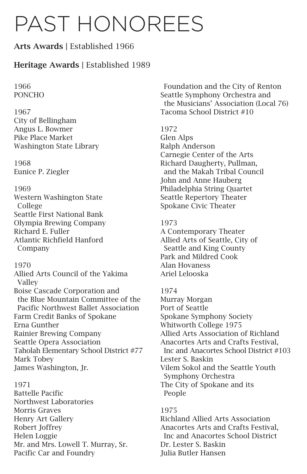# PAST HONOREES

# Arts Awards | Established 1966

# Heritage Awards | Established 1989

1966 PONCHO

1967

City of Bellingham Angus L. Bowmer Pike Place Market Washington State Library

1968 Eunice P. Ziegler

# 1969

Western Washington State College Seattle First National Bank Olympia Brewing Company Richard E. Fuller Atlantic Richfield Hanford Company

# 1970

Allied Arts Council of the Yakima Valley Boise Cascade Corporation and the Blue Mountain Committee of the Pacific Northwest Ballet Association Farm Credit Banks of Spokane Erna Gunther Rainier Brewing Company Seattle Opera Association Taholah Elementary School District #77 Mark Tobey James Washington, Jr.

# 1971

Battelle Pacific Northwest Laboratories Morris Graves Henry Art Gallery Robert Joffrey Helen Loggie Mr. and Mrs. Lowell T. Murray, Sr. Pacific Car and Foundry

Foundation and the City of Renton Seattle Symphony Orchestra and the Musicians' Association (Local 76) Tacoma School District #10

# 1972

Glen Alps Ralph Anderson Carnegie Center of the Arts Richard Daugherty, Pullman, and the Makah Tribal Council John and Anne Hauberg Philadelphia String Quartet Seattle Repertory Theater Spokane Civic Theater

# 1973

A Contemporary Theater Allied Arts of Seattle, City of Seattle and King County Park and Mildred Cook Alan Hovaness Ariel Lelooska

# 1974

Murray Morgan Port of Seattle Spokane Symphony Society Whitworth College 1975 Allied Arts Association of Richland Anacortes Arts and Crafts Festival, Inc and Anacortes School District #103 Lester S. Baskin Vilem Sokol and the Seattle Youth Symphony Orchestra The City of Spokane and its People

# 1975

Richland Allied Arts Association Anacortes Arts and Crafts Festival, Inc and Anacortes School District Dr. Lester S. Baskin Julia Butler Hansen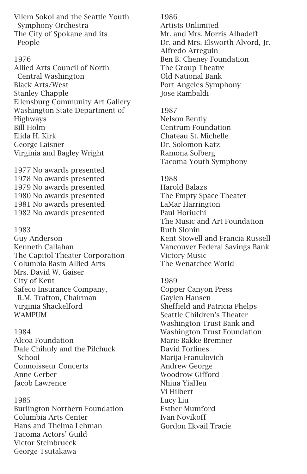Vilem Sokol and the Seattle Youth Symphony Orchestra The City of Spokane and its People

## 1976

Allied Arts Council of North Central Washington Black Arts/West Stanley Chapple Ellensburg Community Art Gallery Washington State Department of Highways Bill Holm Elida H. Kirk George Laisner Virginia and Bagley Wright

1977 No awards presented 1978 No awards presented 1979 No awards presented 1980 No awards presented 1981 No awards presented 1982 No awards presented

## 1983

Guy Anderson Kenneth Callahan The Capitol Theater Corporation Columbia Basin Allied Arts Mrs. David W. Gaiser City of Kent Safeco Insurance Company, R.M. Trafton, Chairman Virginia Shackelford WAMPUM

## 1984

Alcoa Foundation Dale Chihuly and the Pilchuck School Connoisseur Concerts Anne Gerber Jacob Lawrence

## 1985

Burlington Northern Foundation Columbia Arts Center Hans and Thelma Lehman Tacoma Actors' Guild Victor Steinbrueck George Tsutakawa

# 1986

Artists Unlimited Mr. and Mrs. Morris Alhadeff Dr. and Mrs. Elsworth Alvord, Jr. Alfredo Arreguin Ben B. Cheney Foundation The Group Theatre Old National Bank Port Angeles Symphony Jose Rambaldi

# 1987

Nelson Bently Centrum Foundation Chateau St. Michelle Dr. Solomon Katz Ramona Solberg Tacoma Youth Symphony

## 1988

Harold Balazs The Empty Space Theater LaMar Harrington Paul Horiuchi The Music and Art Foundation Ruth Slonin Kent Stowell and Francia Russell Vancouver Federal Savings Bank Victory Music The Wenatchee World

## 1989

Copper Canyon Press Gaylen Hansen Sheffield and Patricia Phelps Seattle Children's Theater Washington Trust Bank and Washington Trust Foundation Marie Bakke Bremner David Forlines Marija Franulovich Andrew George Woodrow Gifford Nhiua YiaHeu Vi Hilbert Lucy Liu Esther Mumford Ivan Novikoff Gordon Ekvail Tracie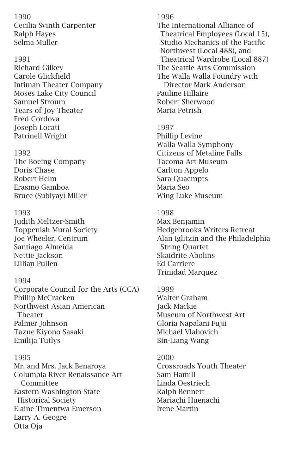1990 Cecilia Svinth Carpenter Ralph Hayes Selma Muller

#### 1991

Richard Gilkey Carole Glickfield Intiman Theater Company Moses Lake City Council Samuel Stroum Tears of Joy Theater Fred Cordova Joseph Locati Patrinell Wright

#### 1992

The Boeing Company Doris Chase Robert Helm Erasmo Gamboa Bruce (Subiyay) Miller

#### 1993

Judith Meltzer-Smith Toppenish Mural Society Joe Wheeler, Centrum Santiago Almeida Nettie Jackson Lillian Pullen

## 1994

Corporate Council for the Arts (CCA) Phillip McCracken Northwest Asian American Theater Palmer Johnson Tazue Kiyono Sasaki Emilija Tutlys

#### 1995

Mr. and Mrs. Jack Benaroya Columbia River Renaissance Art **Committee** Eastern Washington State Historical Society Elaine Timentwa Emerson Larry A. Geogre Otta Oja

#### 1996

The International Alliance of Theatrical Employees (Local 15), Studio Mechanics of the Pacific Northwest (Local 488), and Theatrical Wardrobe (Local 887) The Seattle Arts Commission The Walla Walla Foundry with Director Mark Anderson Pauline Hillaire Robert Sherwood Maria Petrish

## 1997

Phillip Levine Walla Walla Symphony Citizens of Metaline Falls Tacoma Art Museum Carlton Appelo Sara Quaempts Maria Seo Wing Luke Museum

#### 1998

Max Benjamin Hedgebrooks Writers Retreat Alan Iglitzin and the Philadelphia String Quartet Skaidrite Abolins Ed Carriere Trinidad Marquez

# 1999 Walter Graham

Jack Mackie Museum of Northwest Art Gloria Napalani Fujii Michael Vlahovich Bin-Liang Wang

#### 2000

Crossroads Youth Theater Sam Hamill Linda Oestriech Ralph Bennett Mariachi Huenachi Irene Martin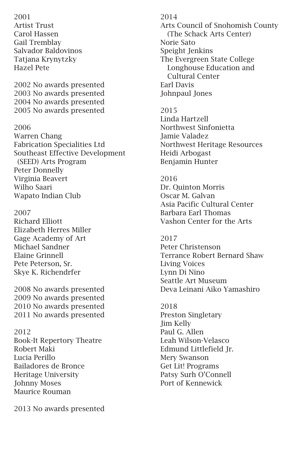2001 Artist Trust Carol Hassen Gail Tremblay Salvador Baldovinos Tatjana Krynytzky Hazel Pete

2002 No awards presented 2003 No awards presented 2004 No awards presented 2005 No awards presented

## 2006

Warren Chang Fabrication Specialities Ltd Southeast Effective Development (SEED) Arts Program Peter Donnelly Virginia Beavert Wilho Saari Wapato Indian Club

#### 2007

Richard Elliott Elizabeth Herres Miller Gage Academy of Art Michael Sandner Elaine Grinnell Pete Peterson, Sr. Skye K. Richendrfer

2008 No awards presented 2009 No awards presented 2010 No awards presented 2011 No awards presented

#### 2012

Book-It Repertory Theatre Robert Maki Lucia Perillo Bailadores de Bronce Heritage University Johnny Moses Maurice Rouman

2013 No awards presented

## 2014

Arts Council of Snohomish County (The Schack Arts Center) Norie Sato Speight Jenkins The Evergreen State College Longhouse Education and Cultural Center Earl Davis Johnpaul Jones

## 2015 Linda Hartzell Northwest Sinfonietta Jamie Valadez Northwest Heritage Resources Heidi Arbogast Benjamin Hunter

# 2016 Dr. Quinton Morris Oscar M. Galvan Asia Pacific Cultural Center Barbara Earl Thomas Vashon Center for the Arts

## 2017 Peter Christenson Terrance Robert Bernard Shaw Living Voices Lynn Di Nino Seattle Art Museum Deva Leinani Aiko Yamashiro

2018 Preston Singletary Jim Kelly Paul G. Allen Leah Wilson-Velasco Edmund Littlefield Jr. Mery Swanson Get Lit! Programs Patsy Surh O'Connell Port of Kennewick